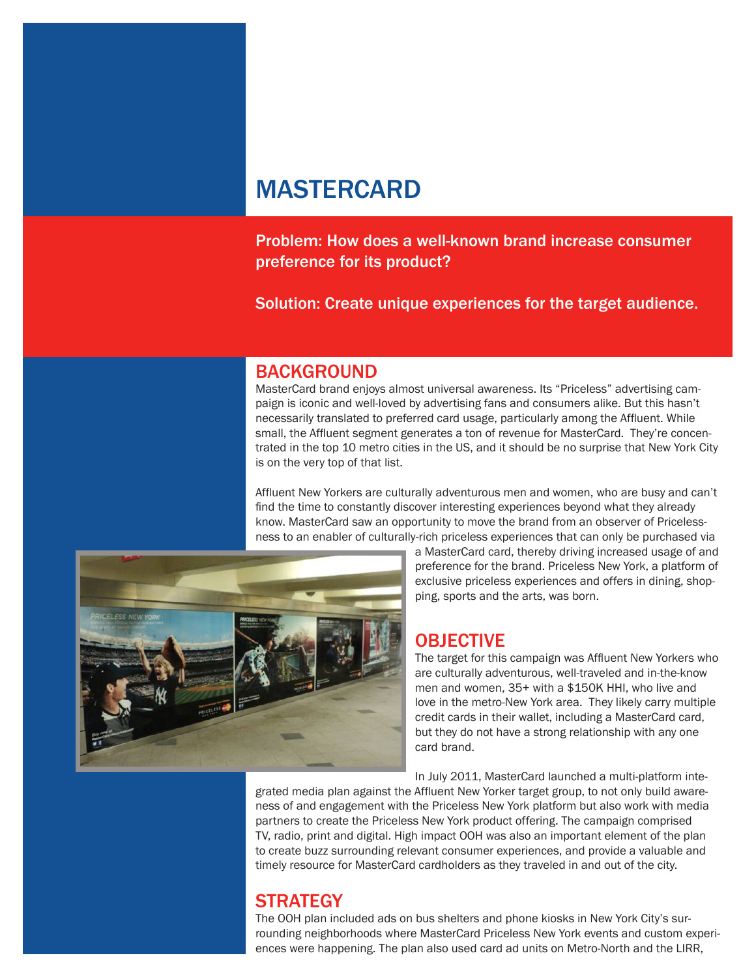# MASTERCARD

Problem: How does a well-known brand increase consumer preference for its product?

Solution: Create unique experiences for the target audience.

#### BACKGROUND

MasterCard brand enjoys almost universal awareness. Its "Priceless" advertising campaign is iconic and well-loved by advertising fans and consumers alike. But this hasn't necessarily translated to preferred card usage, particularly among the Affluent. While small, the Affluent segment generates a ton of revenue for MasterCard. They're concentrated in the top 10 metro cities in the US, and it should be no surprise that New York City is on the very top of that list.

Affluent New Yorkers are culturally adventurous men and women, who are busy and can't find the time to constantly discover interesting experiences beyond what they already know. MasterCard saw an opportunity to move the brand from an observer of Pricelessness to an enabler of culturally-rich priceless experiences that can only be purchased via



a MasterCard card, thereby driving increased usage of and preference for the brand. Priceless New York, a platform of exclusive priceless experiences and offers in dining, shopping, sports and the arts, was born.

#### OBJECTIVE

The target for this campaign was Affluent New Yorkers who are culturally adventurous, well-traveled and in-the-know men and women, 35+ with a \$150K HHI, who live and love in the metro-New York area. They likely carry multiple credit cards in their wallet, including a MasterCard card, but they do not have a strong relationship with any one card brand.

In July 2011, MasterCard launched a multi-platform inte-

grated media plan against the Affluent New Yorker target group, to not only build awareness of and engagement with the Priceless New York platform but also work with media partners to create the Priceless New York product offering. The campaign comprised TV, radio, print and digital. High impact OOH was also an important element of the plan to create buzz surrounding relevant consumer experiences, and provide a valuable and timely resource for MasterCard cardholders as they traveled in and out of the city.

# **STRATEGY**

The OOH plan included ads on bus shelters and phone kiosks in New York City's surrounding neighborhoods where MasterCard Priceless New York events and custom experiences were happening. The plan also used card ad units on Metro-North and the LIRR,